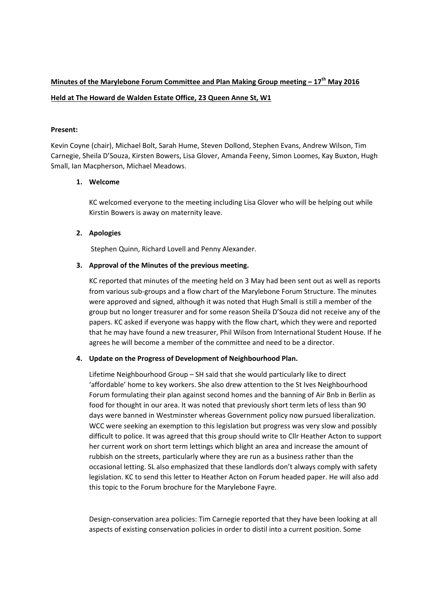# **Minutes of the Marylebone Forum Committee and Plan Making Group meeting – 17th May 2016 Held at The Howard de Walden Estate Office, 23 Queen Anne St, W1**

### **Present:**

Kevin Coyne (chair), Michael Bolt, Sarah Hume, Steven Dollond, Stephen Evans, Andrew Wilson, Tim Carnegie, Sheila D'Souza, Kirsten Bowers, Lisa Glover, Amanda Feeny, Simon Loomes, Kay Buxton, Hugh Small, Ian Macpherson, Michael Meadows.

#### **1. Welcome**

KC welcomed everyone to the meeting including Lisa Glover who will be helping out while Kirstin Bowers is away on maternity leave.

## **2. Apologies**

Stephen Quinn, Richard Lovell and Penny Alexander.

#### **3. Approval of the Minutes of the previous meeting.**

KC reported that minutes of the meeting held on 3 May had been sent out as well as reports from various sub‐groups and a flow chart of the Marylebone Forum Structure. The minutes were approved and signed, although it was noted that Hugh Small is still a member of the group but no longer treasurer and for some reason Sheila D'Souza did not receive any of the papers. KC asked if everyone was happy with the flow chart, which they were and reported that he may have found a new treasurer, Phil Wilson from International Student House. If he agrees he will become a member of the committee and need to be a director.

#### **4. Update on the Progress of Development of Neighbourhood Plan.**

Lifetime Neighbourhood Group – SH said that she would particularly like to direct 'affordable' home to key workers. She also drew attention to the St Ives Neighbourhood Forum formulating their plan against second homes and the banning of Air Bnb in Berlin as food for thought in our area. It was noted that previously short term lets of less than 90 days were banned in Westminster whereas Government policy now pursued liberalization. WCC were seeking an exemption to this legislation but progress was very slow and possibly difficult to police. It was agreed that this group should write to Cllr Heather Acton to support her current work on short term lettings which blight an area and increase the amount of rubbish on the streets, particularly where they are run as a business rather than the occasional letting. SL also emphasized that these landlords don't always comply with safety legislation. KC to send this letter to Heather Acton on Forum headed paper. He will also add this topic to the Forum brochure for the Marylebone Fayre.

Design-conservation area policies: Tim Carnegie reported that they have been looking at all aspects of existing conservation policies in order to distil into a current position. Some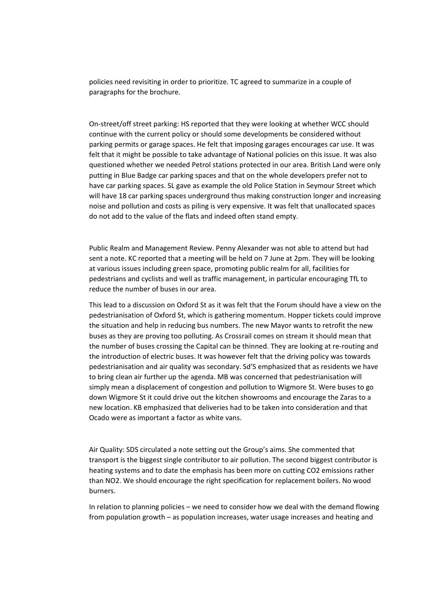policies need revisiting in order to prioritize. TC agreed to summarize in a couple of paragraphs for the brochure.

On‐street/off street parking: HS reported that they were looking at whether WCC should continue with the current policy or should some developments be considered without parking permits or garage spaces. He felt that imposing garages encourages car use. It was felt that it might be possible to take advantage of National policies on this issue. It was also questioned whether we needed Petrol stations protected in our area. British Land were only putting in Blue Badge car parking spaces and that on the whole developers prefer not to have car parking spaces. SL gave as example the old Police Station in Seymour Street which will have 18 car parking spaces underground thus making construction longer and increasing noise and pollution and costs as piling is very expensive. It was felt that unallocated spaces do not add to the value of the flats and indeed often stand empty.

Public Realm and Management Review. Penny Alexander was not able to attend but had sent a note. KC reported that a meeting will be held on 7 June at 2pm. They will be looking at various issues including green space, promoting public realm for all, facilities for pedestrians and cyclists and well as traffic management, in particular encouraging TfL to reduce the number of buses in our area.

This lead to a discussion on Oxford St as it was felt that the Forum should have a view on the pedestrianisation of Oxford St, which is gathering momentum. Hopper tickets could improve the situation and help in reducing bus numbers. The new Mayor wants to retrofit the new buses as they are proving too polluting. As Crossrail comes on stream it should mean that the number of buses crossing the Capital can be thinned. They are looking at re-routing and the introduction of electric buses. It was however felt that the driving policy was towards pedestrianisation and air quality was secondary. Sd'S emphasized that as residents we have to bring clean air further up the agenda. MB was concerned that pedestrianisation will simply mean a displacement of congestion and pollution to Wigmore St. Were buses to go down Wigmore St it could drive out the kitchen showrooms and encourage the Zaras to a new location. KB emphasized that deliveries had to be taken into consideration and that Ocado were as important a factor as white vans.

Air Quality: SDS circulated a note setting out the Group's aims. She commented that transport is the biggest single contributor to air pollution. The second biggest contributor is heating systems and to date the emphasis has been more on cutting CO2 emissions rather than NO2. We should encourage the right specification for replacement boilers. No wood burners.

In relation to planning policies – we need to consider how we deal with the demand flowing from population growth – as population increases, water usage increases and heating and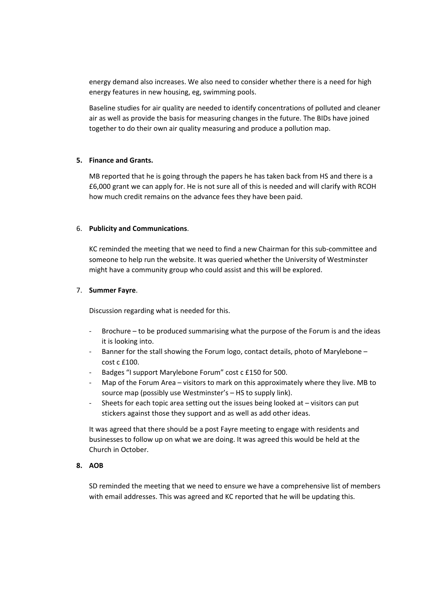energy demand also increases. We also need to consider whether there is a need for high energy features in new housing, eg, swimming pools.

Baseline studies for air quality are needed to identify concentrations of polluted and cleaner air as well as provide the basis for measuring changes in the future. The BIDs have joined together to do their own air quality measuring and produce a pollution map.

#### **5. Finance and Grants.**

MB reported that he is going through the papers he has taken back from HS and there is a £6,000 grant we can apply for. He is not sure all of this is needed and will clarify with RCOH how much credit remains on the advance fees they have been paid.

#### 6. **Publicity and Communications**.

KC reminded the meeting that we need to find a new Chairman for this sub‐committee and someone to help run the website. It was queried whether the University of Westminster might have a community group who could assist and this will be explored.

#### 7. **Summer Fayre**.

Discussion regarding what is needed for this.

- ‐ Brochure to be produced summarising what the purpose of the Forum is and the ideas it is looking into.
- Banner for the stall showing the Forum logo, contact details, photo of Marylebone cost c £100.
- ‐ Badges "I support Marylebone Forum" cost c £150 for 500.
- ‐ Map of the Forum Area visitors to mark on this approximately where they live. MB to source map (possibly use Westminster's – HS to supply link).
- ‐ Sheets for each topic area setting out the issues being looked at visitors can put stickers against those they support and as well as add other ideas.

It was agreed that there should be a post Fayre meeting to engage with residents and businesses to follow up on what we are doing. It was agreed this would be held at the Church in October.

## **8. AOB**

SD reminded the meeting that we need to ensure we have a comprehensive list of members with email addresses. This was agreed and KC reported that he will be updating this.